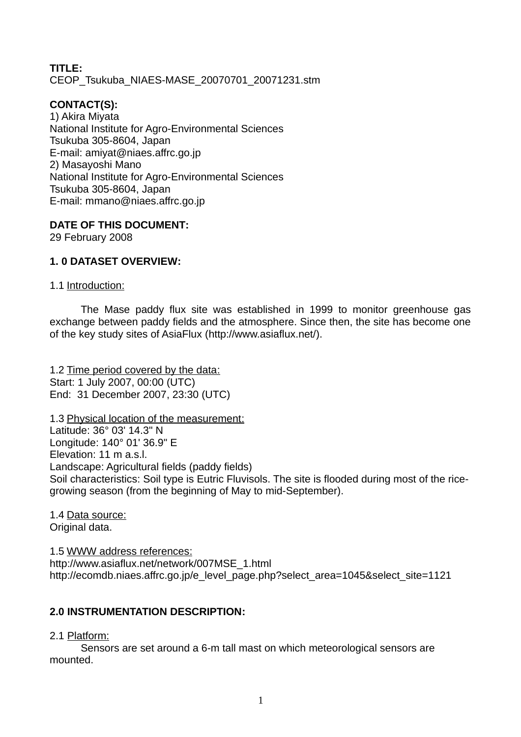**TITLE:** CEOP\_Tsukuba\_NIAES-MASE\_20070701\_20071231.stm

# **CONTACT(S):**

1) Akira Miyata National Institute for Agro-Environmental Sciences Tsukuba 305-8604, Japan E-mail: amiyat@niaes.affrc.go.jp 2) Masayoshi Mano National Institute for Agro-Environmental Sciences Tsukuba 305-8604, Japan E-mail: mmano@niaes.affrc.go.jp

**DATE OF THIS DOCUMENT:**

29 February 2008

### **1. 0 DATASET OVERVIEW:**

#### 1.1 Introduction:

The Mase paddy flux site was established in 1999 to monitor greenhouse gas exchange between paddy fields and the atmosphere. Since then, the site has become one of the key study sites of AsiaFlux [\(http://www.asiaflux.net/\)](http://www.asiaflux.net/).

1.2 Time period covered by the data: Start: 1 July 2007, 00:00 (UTC) End: 31 December 2007, 23:30 (UTC)

1.3 Physical location of the measurement: Latitude: 36° 03' 14.3" N Longitude: 140° 01' 36.9" E Elevation: 11 m a.s.l. Landscape: Agricultural fields (paddy fields) Soil characteristics: Soil type is Eutric Fluvisols. The site is flooded during most of the ricegrowing season (from the beginning of May to mid-September).

1.4 Data source: Original data.

1.5 WWW address references: http://www.asiaflux.net/network/007MSE\_1.html http://ecomdb.niaes.affrc.go.jp/e level page.php?select area=1045&select site=1121

### **2.0 INSTRUMENTATION DESCRIPTION:**

#### 2.1 Platform:

Sensors are set around a 6-m tall mast on which meteorological sensors are mounted.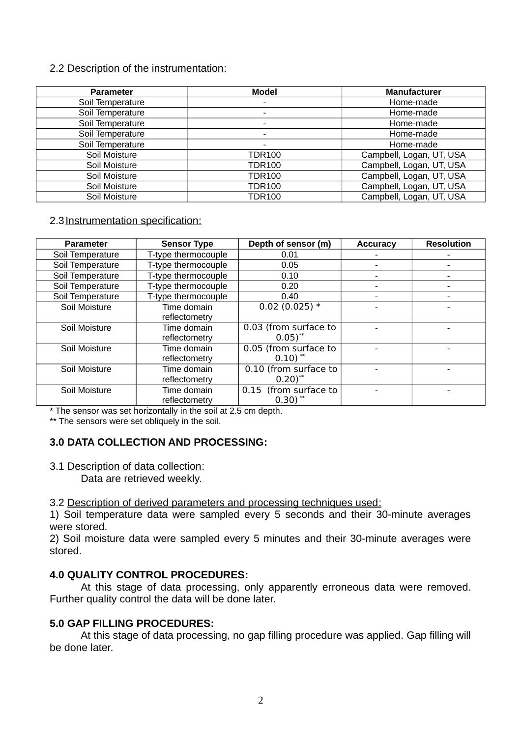#### 2.2 Description of the instrumentation:

| <b>Parameter</b> | Model         | <b>Manufacturer</b>      |  |
|------------------|---------------|--------------------------|--|
| Soil Temperature |               | Home-made                |  |
| Soil Temperature | ٠             | Home-made                |  |
| Soil Temperature |               | Home-made                |  |
| Soil Temperature | ٠             | Home-made                |  |
| Soil Temperature | ٠             | Home-made                |  |
| Soil Moisture    | TDR100        | Campbell, Logan, UT, USA |  |
| Soil Moisture    | TDR100        | Campbell, Logan, UT, USA |  |
| Soil Moisture    | <b>TDR100</b> | Campbell, Logan, UT, USA |  |
| Soil Moisture    | <b>TDR100</b> | Campbell, Logan, UT, USA |  |
| Soil Moisture    | <b>TDR100</b> | Campbell, Logan, UT, USA |  |

### 2.3 Instrumentation specification:

| <b>Parameter</b> | <b>Sensor Type</b>  | Depth of sensor (m)                | <b>Accuracy</b> | <b>Resolution</b> |
|------------------|---------------------|------------------------------------|-----------------|-------------------|
| Soil Temperature | T-type thermocouple | 0.01                               |                 |                   |
| Soil Temperature | T-type thermocouple | 0.05                               | -               | -                 |
| Soil Temperature | T-type thermocouple | 0.10                               |                 |                   |
| Soil Temperature | T-type thermocouple | 0.20                               |                 |                   |
| Soil Temperature | T-type thermocouple | 0.40                               |                 |                   |
| Soil Moisture    | Time domain         | $0.02(0.025)*$                     |                 |                   |
|                  | reflectometry       |                                    |                 |                   |
| Soil Moisture    | Time domain         | 0.03 (from surface to              |                 |                   |
|                  | reflectometry       | $0.05$ <sup>**</sup>               |                 |                   |
| Soil Moisture    | Time domain         | 0.05 (from surface to              |                 |                   |
|                  | reflectometry       | $0.10$ <sup>**</sup>               |                 |                   |
| Soil Moisture    | Time domain         | $\overline{0.10}$ (from surface to |                 |                   |
|                  | reflectometry       | $0.20$ <sup>**</sup>               |                 |                   |
| Soil Moisture    | Time domain         | 0.15 (from surface to              |                 |                   |
|                  | reflectometry       | $0.30$ ) **                        |                 |                   |

\* The sensor was set horizontally in the soil at 2.5 cm depth.

\*\* The sensors were set obliquely in the soil.

### **3.0 DATA COLLECTION AND PROCESSING:**

#### 3.1 Description of data collection:

Data are retrieved weekly.

3.2 Description of derived parameters and processing techniques used:

1) Soil temperature data were sampled every 5 seconds and their 30-minute averages were stored.

2) Soil moisture data were sampled every 5 minutes and their 30-minute averages were stored.

### **4.0 QUALITY CONTROL PROCEDURES:**

At this stage of data processing, only apparently erroneous data were removed. Further quality control the data will be done later.

#### **5.0 GAP FILLING PROCEDURES:**

At this stage of data processing, no gap filling procedure was applied. Gap filling will be done later.